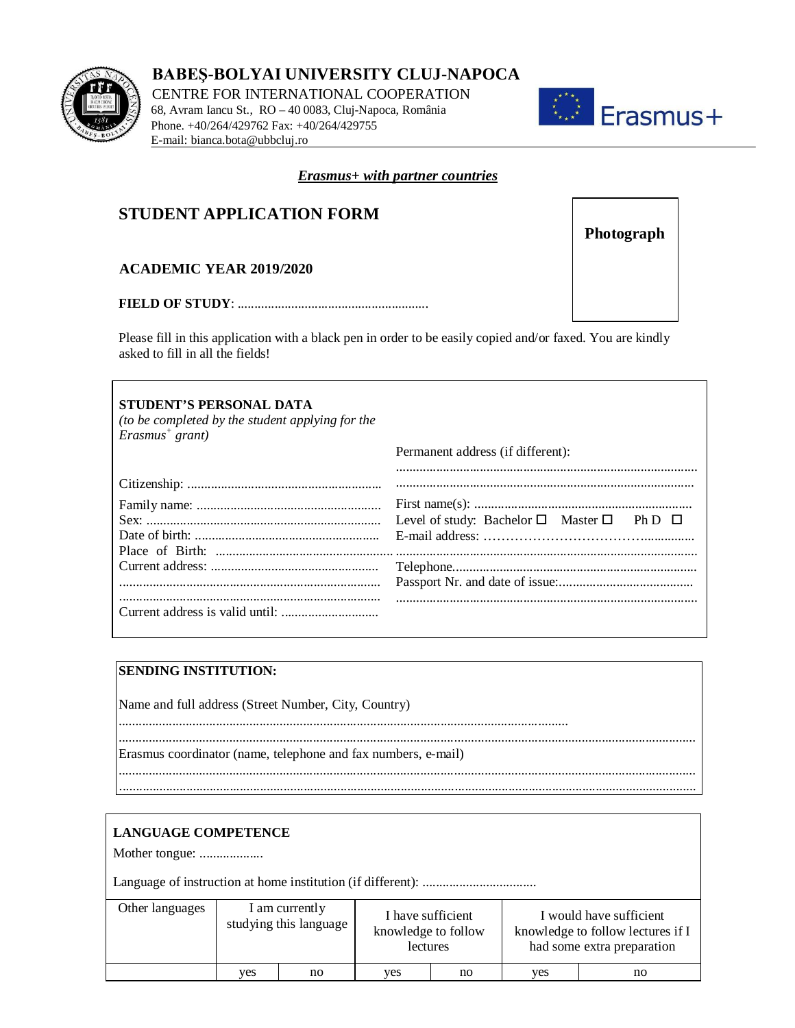

**BABEŞ-BOLYAI UNIVERSITY CLUJ-NAPOCA** 

CENTRE FOR INTERNATIONAL COOPERATION 68, Avram Iancu St., RO – 40 0083, Cluj-Napoca, România Phone. +40/264/429762 Fax: +40/264/429755 E-mail: bianca.bota@ubbcluj.ro



## *Erasmus+ with partner countries*

# **STUDENT APPLICATION FORM**

# **ACADEMIC YEAR 2019/2020**

#### **FIELD OF STUDY**: .........................................................

Please fill in this application with a black pen in order to be easily copied and/or faxed. You are kindly asked to fill in all the fields!

| <b>STUDENT'S PERSONAL DATA</b><br>(to be completed by the student applying for the<br>$E$ rasmus <sup>+</sup> grant) |                                                                    |
|----------------------------------------------------------------------------------------------------------------------|--------------------------------------------------------------------|
|                                                                                                                      | Permanent address (if different):                                  |
|                                                                                                                      |                                                                    |
|                                                                                                                      |                                                                    |
|                                                                                                                      |                                                                    |
|                                                                                                                      | Level of study: Bachelor $\square$ Master $\square$ Ph D $\square$ |
|                                                                                                                      |                                                                    |
|                                                                                                                      |                                                                    |
|                                                                                                                      |                                                                    |
|                                                                                                                      |                                                                    |
|                                                                                                                      |                                                                    |
|                                                                                                                      |                                                                    |

## **SENDING INSTITUTION:**

| Name and full address (Street Number, City, Country)          |
|---------------------------------------------------------------|
| Erasmus coordinator (name, telephone and fax numbers, e-mail) |
|                                                               |

| <b>LANGUAGE COMPETENCE</b><br>Mother tongue: |                                          |    |                                                      |    |                                                                                            |    |
|----------------------------------------------|------------------------------------------|----|------------------------------------------------------|----|--------------------------------------------------------------------------------------------|----|
|                                              |                                          |    |                                                      |    |                                                                                            |    |
| Other languages                              | I am currently<br>studying this language |    | I have sufficient<br>knowledge to follow<br>lectures |    | I would have sufficient<br>knowledge to follow lectures if I<br>had some extra preparation |    |
|                                              | ves                                      | no | ves                                                  | no | yes                                                                                        | no |

**Photograph**